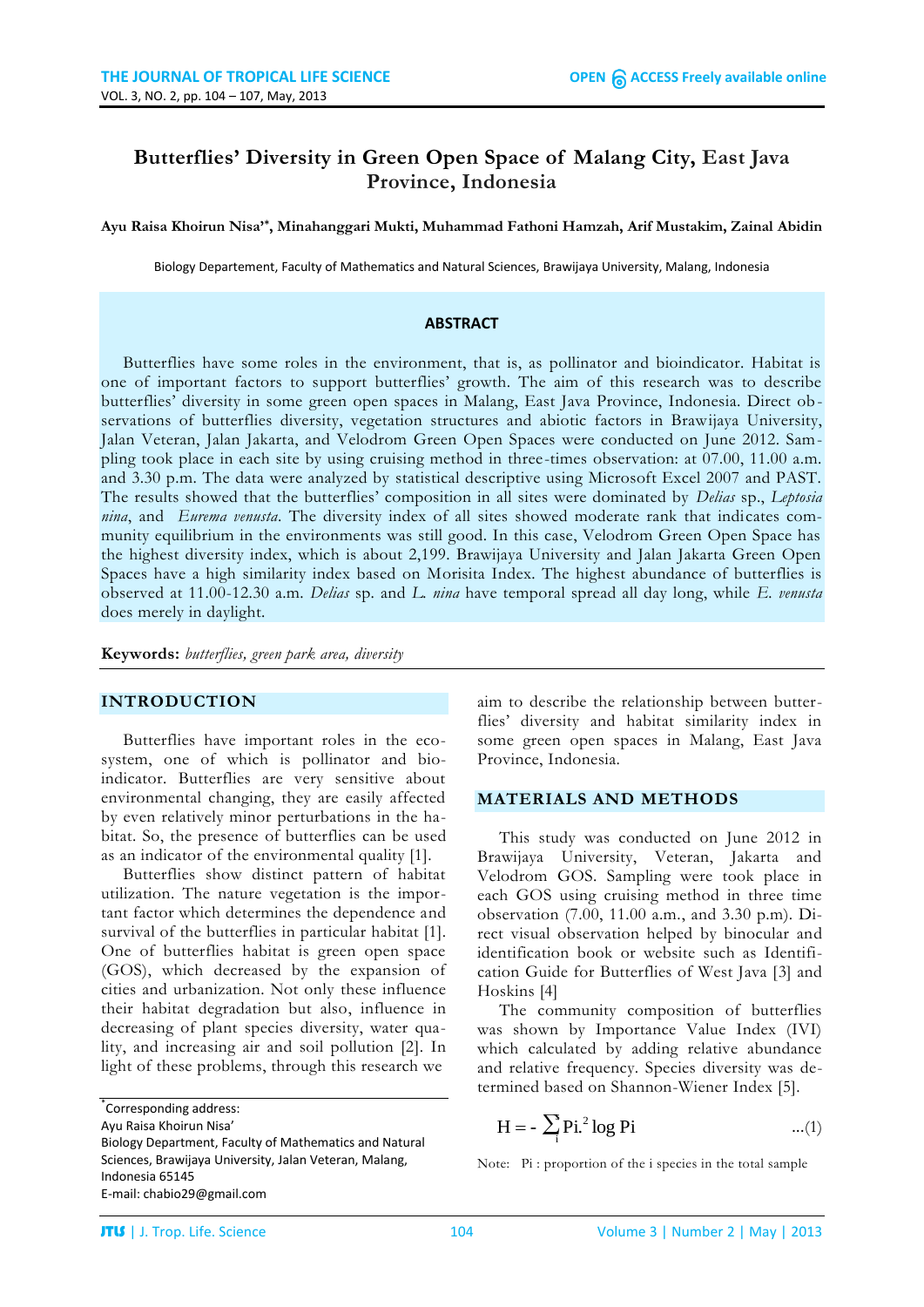# **Butterflies' Diversity in Green Open Space of Malang City, East Java Province, Indonesia**

**Ayu Raisa Khoirun Nisa'\* , Minahanggari Mukti, Muhammad Fathoni Hamzah, Arif Mustakim, Zainal Abidin**

Biology Departement, Faculty of Mathematics and Natural Sciences, Brawijaya University, Malang, Indonesia

#### **ABSTRACT**

Butterflies have some roles in the environment, that is, as pollinator and bioindicator. Habitat is one of important factors to support butterflies' growth. The aim of this research was to describe butterflies' diversity in some green open spaces in Malang, East Java Province, Indonesia. Direct observations of butterflies diversity, vegetation structures and abiotic factors in Brawijaya University, Jalan Veteran, Jalan Jakarta, and Velodrom Green Open Spaces were conducted on June 2012. Sampling took place in each site by using cruising method in three-times observation: at 07.00, 11.00 a.m. and 3.30 p.m. The data were analyzed by statistical descriptive using Microsoft Excel 2007 and PAST. The results showed that the butterflies' composition in all sites were dominated by *Delias* sp., *Leptosia nina*, and *Eurema venusta*. The diversity index of all sites showed moderate rank that indicates community equilibrium in the environments was still good. In this case, Velodrom Green Open Space has the highest diversity index, which is about 2,199. Brawijaya University and Jalan Jakarta Green Open Spaces have a high similarity index based on Morisita Index. The highest abundance of butterflies is observed at 11.00-12.30 a.m. *Delias* sp. and *L. nina* have temporal spread all day long, while *E. venusta* does merely in daylight.

**Keywords:** *butterflies, green park area, diversity*

### **INTRODUCTION**

Butterflies have important roles in the ecosystem, one of which is pollinator and bioindicator. Butterflies are very sensitive about environmental changing, they are easily affected by even relatively minor perturbations in the habitat. So, the presence of butterflies can be used as an indicator of the environmental quality [1].

Butterflies show distinct pattern of habitat utilization. The nature vegetation is the important factor which determines the dependence and survival of the butterflies in particular habitat [1]. One of butterflies habitat is green open space (GOS), which decreased by the expansion of cities and urbanization. Not only these influence their habitat degradation but also, influence in decreasing of plant species diversity, water quality, and increasing air and soil pollution [2]. In light of these problems, through this research we

\* Corresponding address:

Ayu Raisa Khoirun Nisa'

aim to describe the relationship between butterflies' diversity and habitat similarity index in some green open spaces in Malang, East Java Province, Indonesia.

### **MATERIALS AND METHODS**

This study was conducted on June 2012 in Brawijaya University, Veteran, Jakarta and Velodrom GOS. Sampling were took place in each GOS using cruising method in three time observation (7.00, 11.00 a.m., and 3.30 p.m). Direct visual observation helped by binocular and identification book or website such as Identification Guide for Butterflies of West Java [3] and Hoskins [4]

The community composition of butterflies was shown by Importance Value Index (IVI) which calculated by adding relative abundance and relative frequency. Species diversity was determined based on Shannon-Wiener Index [5].

$$
H = -\sum_{i} P i^{2} \log P i \qquad \qquad \dots (1)
$$

Biology Department, Faculty of Mathematics and Natural Sciences, Brawijaya University, Jalan Veteran, Malang, Indonesia 65145 E-mail: chabio29@gmail.com

Note: Pi : proportion of the i species in the total sample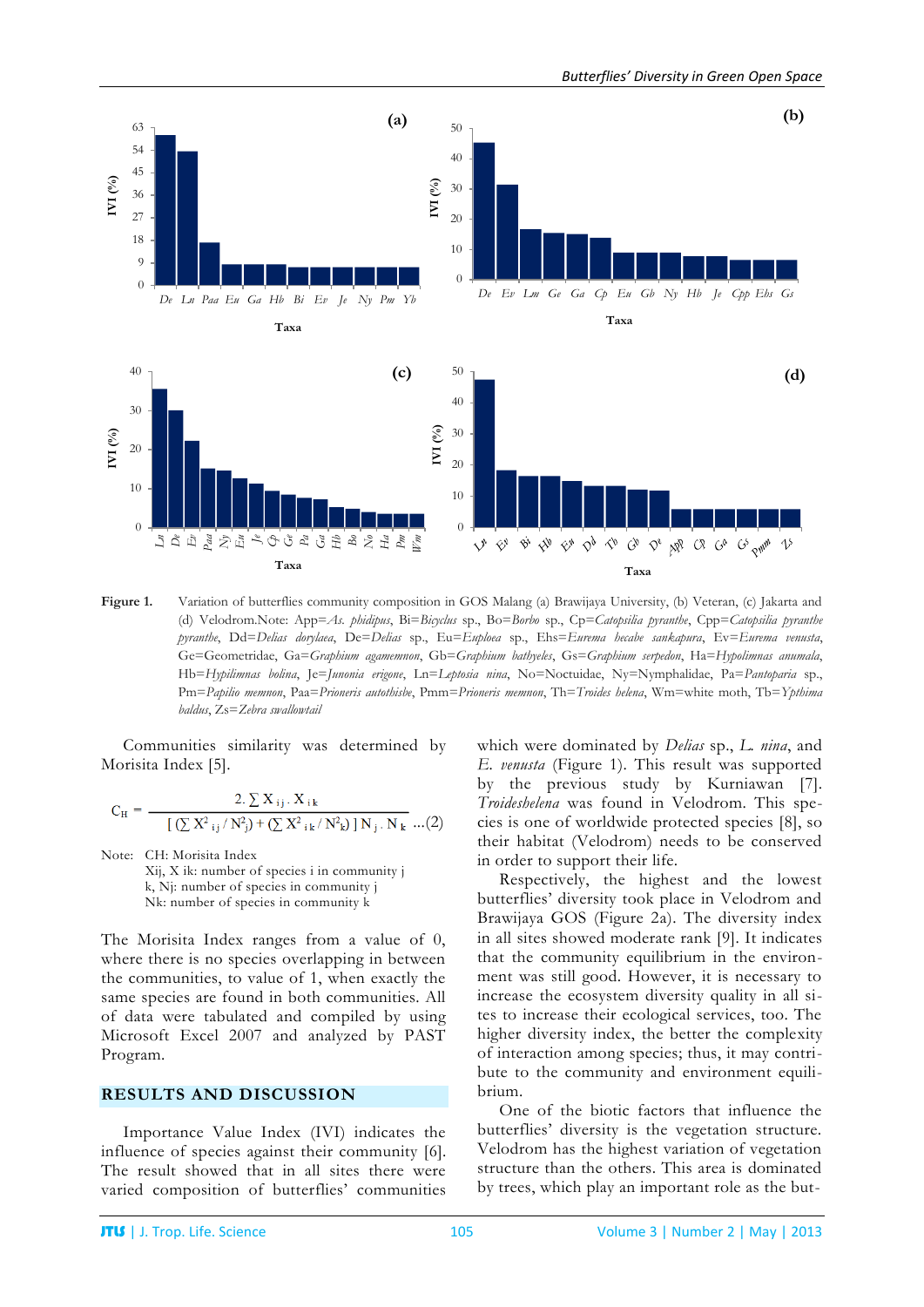

**Figure 1.** Variation of butterflies community composition in GOS Malang (a) Brawijaya University, (b) Veteran, (c) Jakarta and (d) Velodrom.Note: App=*As. phidipus*, Bi=*Bicyclus* sp., Bo=*Borbo* sp., Cp=*Catopsilia pyranthe*, Cpp=*Catopsilia pyranthe pyranthe*, Dd=*Delias dorylaea*, De=*Delias* sp., Eu=*Euploea* sp., Ehs=*Eurema hecabe sankapura*, Ev=*Eurema venusta*, Ge=Geometridae, Ga=*Graphium agamemnon*, Gb=*Graphium bathyeles*, Gs=*Graphium serpedon*, Ha=*Hypolimnas anumala*, Hb=*Hypilimnas bolina*, Je=*Junonia erigone*, Ln=*Leptosia nina*, No=Noctuidae, Ny=Nymphalidae, Pa=*Pantoparia* sp., Pm=*Papilio memnon*, Paa=*Prioneris autothisbe*, Pmm=*Prioneris memnon*, Th=*Troides helena*, Wm=white moth, Tb=*Ypthima baldus*, Zs=*Zebra swallowtail*

Communities similarity was determined by Morisita Index [5].

$$
C_{H} = \frac{2. \sum X_{ij}. X_{ik}}{[ (\sum X^{2}{}_{ij}/N^{2}{}_{j}) + (\sum X^{2}{}_{ik}/N^{2}{}_{k}) ] N_{j}. N_{k}} \dots (2)
$$

Note: CH: Morisita Index

Xij, X ik: number of species i in community j k, Nj: number of species in community j Nk: number of species in community k

The Morisita Index ranges from a value of 0, where there is no species overlapping in between the communities, to value of 1, when exactly the same species are found in both communities. All of data were tabulated and compiled by using Microsoft Excel 2007 and analyzed by PAST Program.

# **RESULTS AND DISCUSSION**

Importance Value Index (IVI) indicates the influence of species against their community [6]. The result showed that in all sites there were varied composition of butterflies' communities which were dominated by *Delias* sp., *L. nina*, and *E. venusta* (Figure 1). This result was supported by the previous study by Kurniawan [7]. *Troideshelena* was found in Velodrom. This species is one of worldwide protected species [8], so their habitat (Velodrom) needs to be conserved in order to support their life.

Respectively, the highest and the lowest butterflies' diversity took place in Velodrom and Brawijaya GOS (Figure 2a). The diversity index in all sites showed moderate rank [9]. It indicates that the community equilibrium in the environment was still good. However, it is necessary to increase the ecosystem diversity quality in all sites to increase their ecological services, too. The higher diversity index, the better the complexity of interaction among species; thus, it may contribute to the community and environment equilibrium.

One of the biotic factors that influence the butterflies' diversity is the vegetation structure. Velodrom has the highest variation of vegetation structure than the others. This area is dominated by trees, which play an important role as the but-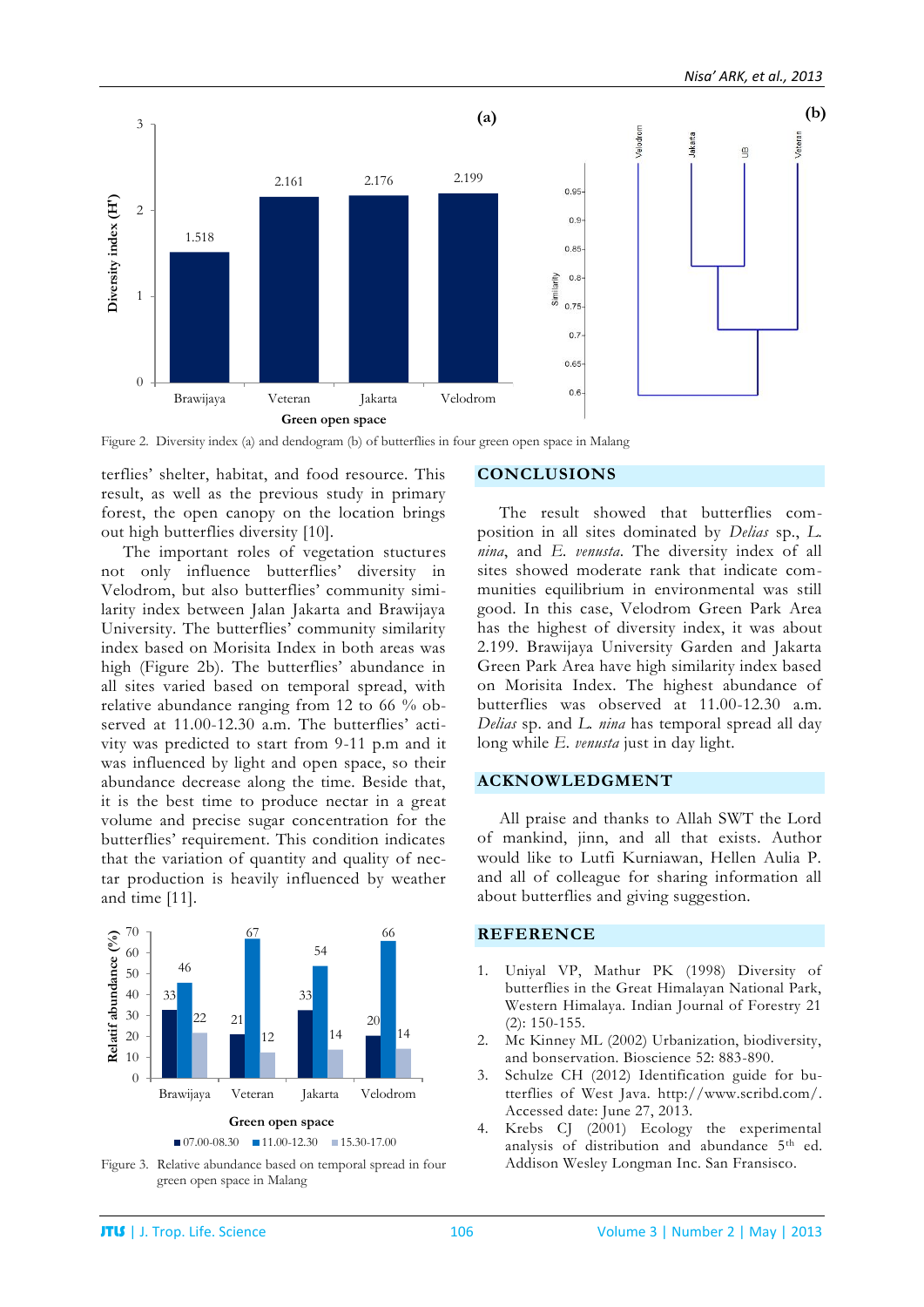

Figure 2. Diversity index (a) and dendogram (b) of butterflies in four green open space in Malang

terflies' shelter, habitat, and food resource. This result, as well as the previous study in primary forest, the open canopy on the location brings out high butterflies diversity [10].

The important roles of vegetation stuctures not only influence butterflies' diversity in Velodrom, but also butterflies' community similarity index between Jalan Jakarta and Brawijaya University. The butterflies' community similarity index based on Morisita Index in both areas was high (Figure 2b). The butterflies' abundance in all sites varied based on temporal spread, with relative abundance ranging from 12 to 66 % observed at 11.00-12.30 a.m. The butterflies' activity was predicted to start from 9-11 p.m and it was influenced by light and open space, so their abundance decrease along the time. Beside that, it is the best time to produce nectar in a great volume and precise sugar concentration for the butterflies' requirement. This condition indicates that the variation of quantity and quality of nectar production is heavily influenced by weather and time [11].



Figure 3. Relative abundance based on temporal spread in four green open space in Malang

## **CONCLUSIONS**

The result showed that butterflies composition in all sites dominated by *Delias* sp., *L. nina*, and *E. venusta*. The diversity index of all sites showed moderate rank that indicate communities equilibrium in environmental was still good. In this case, Velodrom Green Park Area has the highest of diversity index, it was about 2.199. Brawijaya University Garden and Jakarta Green Park Area have high similarity index based on Morisita Index. The highest abundance of butterflies was observed at 11.00-12.30 a.m. *Delias* sp. and *L. nina* has temporal spread all day long while *E. venusta* just in day light.

### **ACKNOWLEDGMENT**

All praise and thanks to Allah SWT the Lord of mankind, jinn, and all that exists. Author would like to Lutfi Kurniawan, Hellen Aulia P. and all of colleague for sharing information all about butterflies and giving suggestion.

### **REFERENCE**

- 1. Uniyal VP, Mathur PK (1998) Diversity of butterflies in the Great Himalayan National Park, Western Himalaya. Indian Journal of Forestry 21 (2): 150-155.
- 2. Mc Kinney ML (2002) Urbanization, biodiversity, and bonservation. Bioscience 52: 883-890.
- 3. Schulze CH (2012) Identification guide for butterflies of West Java. http://www.scribd.com/. Accessed date: June 27, 2013.
- 4. Krebs CJ (2001) Ecology the experimental analysis of distribution and abundance 5th ed. Addison Wesley Longman Inc. San Fransisco.